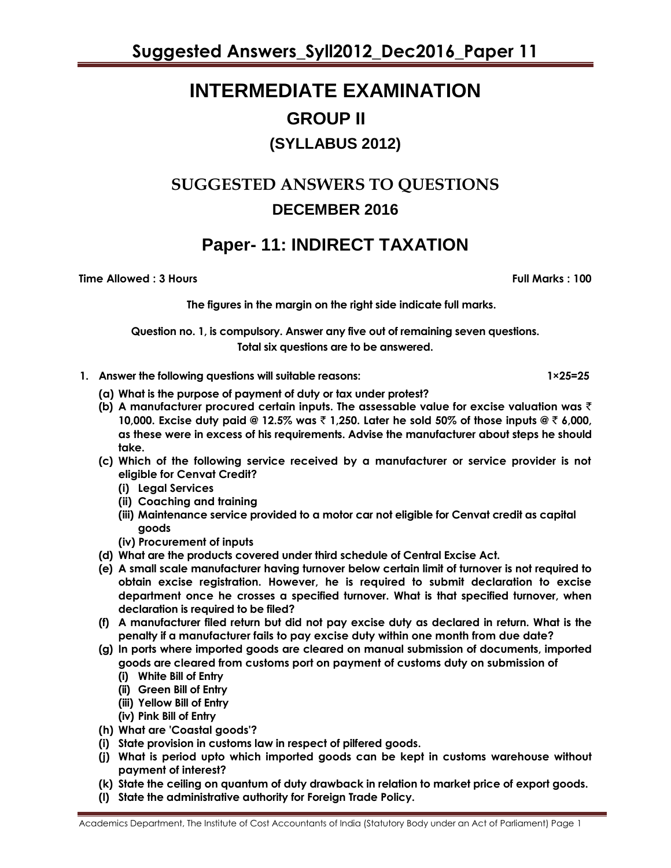# **INTERMEDIATE EXAMINATION GROUP II (SYLLABUS 2012)**

## **SUGGESTED ANSWERS TO QUESTIONS DECEMBER 2016**

## **Paper- 11: INDIRECT TAXATION**

**Time Allowed : 3 Hours Full Marks : 100**

**The figures in the margin on the right side indicate full marks.**

**Question no. 1, is compulsory. Answer any five out of remaining seven questions. Total six questions are to be answered.**

- **1. Answer the following questions will suitable reasons: 1×25=25**
	- **(a) What is the purpose of payment of duty or tax under protest?**
	- **(b) A manufacturer procured certain inputs. The assessable value for excise valuation was** ` **10,000. Excise duty paid @ 12.5% was** ` **1,250. Later he sold 50% of those inputs @** ` **6,000, as these were in excess of his requirements. Advise the manufacturer about steps he should take.**
	- **(c) Which of the following service received by a manufacturer or service provider is not eligible for Cenvat Credit?**
		- **(i) Legal Services**
		- **(ii) Coaching and training**
		- **(iii) Maintenance service provided to a motor car not eligible for Cenvat credit as capital goods**
		- **(iv) Procurement of inputs**
	- **(d) What are the products covered under third schedule of Central Excise Act.**
	- **(e) A small scale manufacturer having turnover below certain limit of turnover is not required to obtain excise registration. However, he is required to submit declaration to excise department once he crosses a specified turnover. What is that specified turnover, when declaration is required to be filed?**
	- **(f) A manufacturer filed return but did not pay excise duty as declared in return. What is the penalty if a manufacturer fails to pay excise duty within one month from due date?**
	- **(g) In ports where imported goods are cleared on manual submission of documents, imported goods are cleared from customs port on payment of customs duty on submission of**
		- **(i) White Bill of Entry**
		- **(ii) Green Bill of Entry**
		- **(iii) Yellow Bill of Entry**
		- **(iv) Pink Bill of Entry**
	- **(h) What are 'Coastal goods'?**
	- **(i) State provision in customs law in respect of pilfered goods.**
	- **(j) What is period upto which imported goods can be kept in customs warehouse without payment of interest?**
	- **(k) State the ceiling on quantum of duty drawback in relation to market price of export goods.**
	- **(l) State the administrative authority for Foreign Trade Policy.**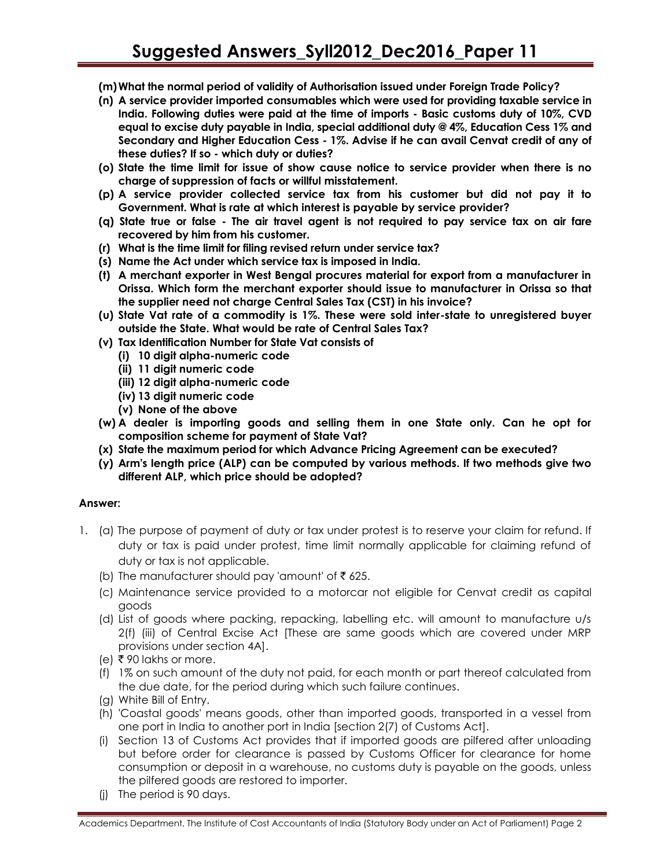- **(m)What the normal period of validity of Authorisation issued under Foreign Trade Policy?**
- **(n) A service provider imported consumables which were used for providing taxable service in India. Following duties were paid at the time of imports - Basic customs duty of 10%, CVD equal to excise duty payable in India, special additional duty @ 4%, Education Cess 1% and Secondary and Higher Education Cess - 1%. Advise if he can avail Cenvat credit of any of these duties? If so - which duty or duties?**
- **(o) State the time limit for issue of show cause notice to service provider when there is no charge of suppression of facts or willful misstatement.**
- **(p) A service provider collected service tax from his customer but did not pay it to Government. What is rate at which interest is payable by service provider?**
- **(q) State true or false - The air travel agent is not required to pay service tax on air fare recovered by him from his customer.**
- **(r) What is the time limit for filing revised return under service tax?**
- **(s) Name the Act under which service tax is imposed in India.**
- **(t) A merchant exporter in West Bengal procures material for export from a manufacturer in Orissa. Which form the merchant exporter should issue to manufacturer in Orissa so that the supplier need not charge Central Sales Tax (CST) in his invoice?**
- **(u) State Vat rate of a commodity is 1%. These were sold inter-state to unregistered buyer outside the State. What would be rate of Central Sales Tax?**
- **(v) Tax Identification Number for State Vat consists of** 
	- **(i) 10 digit alpha-numeric code**
	- **(ii) 11 digit numeric code**
	- **(iii) 12 digit alpha-numeric code**
	- **(iv) 13 digit numeric code**
	- **(v) None of the above**
- **(w) A dealer is importing goods and selling them in one State only. Can he opt for composition scheme for payment of State Vat?**
- **(x) State the maximum period for which Advance Pricing Agreement can be executed?**
- **(y) Arm's length price (ALP) can be computed by various methods. If two methods give two different ALP, which price should be adopted?**

### **Answer:**

- 1. (a) The purpose of payment of duty or tax under protest is to reserve your claim for refund. If duty or tax is paid under protest, time limit normally applicable for claiming refund of duty or tax is not applicable.
	- (b) The manufacturer should pay 'amount' of  $\bar{z}$  625.
	- (c) Maintenance service provided to a motorcar not eligible for Cenvat credit as capital goods
	- (d) List of goods where packing, repacking, labelling etc. will amount to manufacture u/s 2(f) (iii) of Central Excise Act [These are same goods which are covered under MRP provisions under section 4A].
	- $(e)$   $\bar{\tau}$  90 lakhs or more.
	- (f) 1% on such amount of the duty not paid, for each month or part thereof calculated from the due date, for the period during which such failure continues.
	- (g) White Bill of Entry.
	- (h) 'Coastal goods' means goods, other than imported goods, transported in a vessel from one port in India to another port in India [section 2(7) of Customs Act].
	- (i) Section 13 of Customs Act provides that if imported goods are pilfered after unloading but before order for clearance is passed by Customs Officer for clearance for home consumption or deposit in a warehouse, no customs duty is payable on the goods, unless the pilfered goods are restored to importer.
	- (j) The period is 90 days.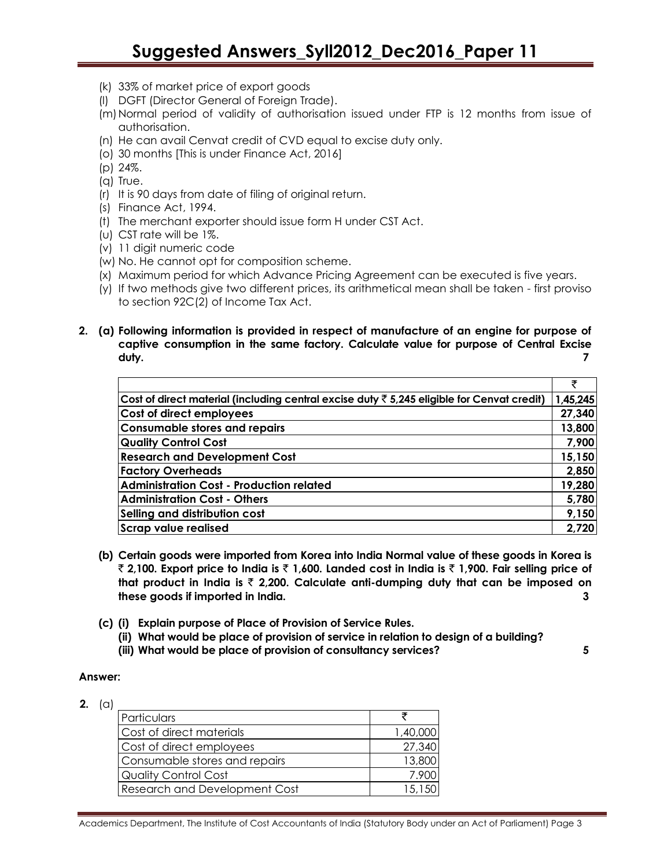- (k) 33% of market price of export goods
- (l) DGFT (Director General of Foreign Trade).
- (m)Normal period of validity of authorisation issued under FTP is 12 months from issue of authorisation.
- (n) He can avail Cenvat credit of CVD equal to excise duty only.
- (o) 30 months [This is under Finance Act, 2016]
- (p) 24%.
- (q) True.
- (r) It is 90 days from date of filing of original return.
- (s) Finance Act, 1994.
- (t) The merchant exporter should issue form H under CST Act.
- (u) CST rate will be 1%.
- (v) 11 digit numeric code
- (w) No. He cannot opt for composition scheme.
- (x) Maximum period for which Advance Pricing Agreement can be executed is five years.
- (y) If two methods give two different prices, its arithmetical mean shall be taken first proviso to section 92C(2) of Income Tax Act.

### **2. (a) Following information is provided in respect of manufacture of an engine for purpose of captive consumption in the same factory. Calculate value for purpose of Central Excise duty. 7**

|                                                                                                       | ₹        |
|-------------------------------------------------------------------------------------------------------|----------|
| Cost of direct material (including central excise duty $\bar{\tau}$ 5,245 eligible for Cenvat credit) | 1,45,245 |
| Cost of direct employees                                                                              | 27,340   |
| <b>Consumable stores and repairs</b>                                                                  | 13,800   |
| <b>Quality Control Cost</b>                                                                           | 7,900    |
| <b>Research and Development Cost</b>                                                                  | 15,150   |
| <b>Factory Overheads</b>                                                                              | 2,850    |
| <b>Administration Cost - Production related</b>                                                       | 19,280   |
| <b>Administration Cost - Others</b>                                                                   | 5,780    |
| Selling and distribution cost                                                                         | 9,150    |
| <b>Scrap value realised</b>                                                                           | 2,720    |

- **(b) Certain goods were imported from Korea into India Normal value of these goods in Korea is**  ` **2,100. Export price to India is** ` **1,600. Landed cost in India is** ` **1,900. Fair selling price of that product in India is** ` **2,200. Calculate anti-dumping duty that can be imposed on these goods if imported in India. 3**
- **(c) (i) Explain purpose of Place of Provision of Service Rules.**
	- **(ii) What would be place of provision of service in relation to design of a building?**
	- **(iii) What would be place of provision of consultancy services? 5**

### **Answer:**

**2.** (a)

| Particulars                          |          |
|--------------------------------------|----------|
| Cost of direct materials             | 1,40,000 |
| Cost of direct employees             | 27,340   |
| Consumable stores and repairs        | 13,800   |
| Quality Control Cost                 | 7.900    |
| <b>Research and Development Cost</b> | 15,150   |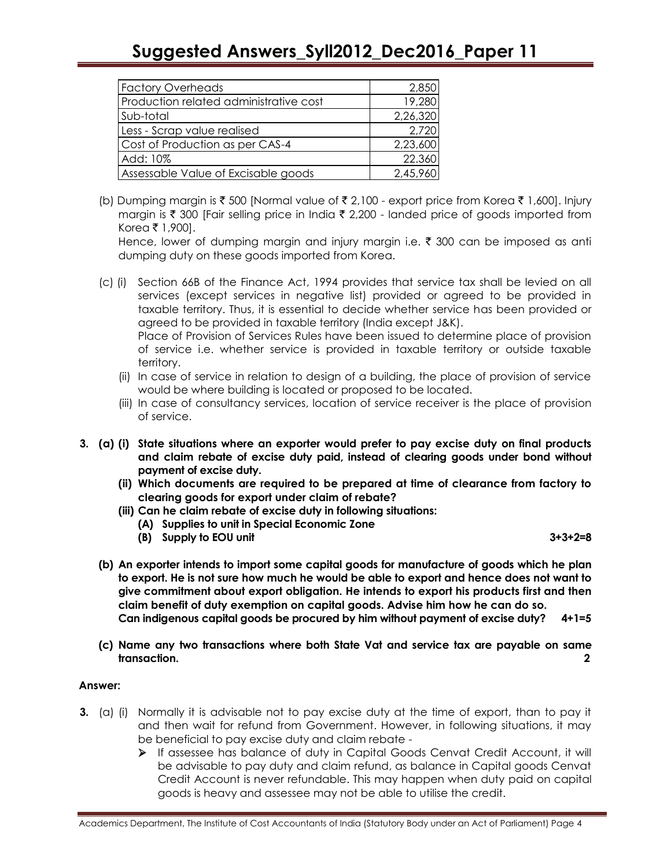## **Suggested Answers\_Syll2012\_Dec2016\_Paper 11**

| <b>Factory Overheads</b>               | 2,850    |
|----------------------------------------|----------|
| Production related administrative cost | 19,280   |
| Sub-total                              | 2,26,320 |
| Less - Scrap value realised            | 2,720    |
| Cost of Production as per CAS-4        | 2,23,600 |
| Add: 10%                               | 22.360   |
| Assessable Value of Excisable goods    | 2,45,960 |

(b) Dumping margin is  $\bar{\tau}$  500 [Normal value of  $\bar{\tau}$  2,100 - export price from Korea  $\bar{\tau}$  1,600]. Injury margin is  $\bar{\tau}$  300 [Fair selling price in India  $\bar{\tau}$  2,200 - landed price of goods imported from Korea ₹ 1,900].

Hence, lower of dumping margin and injury margin i.e.  $\bar{\tau}$  300 can be imposed as anti dumping duty on these goods imported from Korea.

(c) (i) Section 66B of the Finance Act, 1994 provides that service tax shall be levied on all services (except services in negative list) provided or agreed to be provided in taxable territory. Thus, it is essential to decide whether service has been provided or agreed to be provided in taxable territory (India except J&K). Place of Provision of Services Rules have been issued to determine place of provision

of service i.e. whether service is provided in taxable territory or outside taxable territory.

- (ii) In case of service in relation to design of a building, the place of provision of service would be where building is located or proposed to be located.
- (iii) In case of consultancy services, location of service receiver is the place of provision of service.
- **3. (a) (i) State situations where an exporter would prefer to pay excise duty on final products and claim rebate of excise duty paid, instead of clearing goods under bond without payment of excise duty.**
	- **(ii) Which documents are required to be prepared at time of clearance from factory to clearing goods for export under claim of rebate?**
	- **(iii) Can he claim rebate of excise duty in following situations:**
		- **(A) Supplies to unit in Special Economic Zone**
		- **(B) Supply to EOU unit 3+3+2=8**

- **(b) An exporter intends to import some capital goods for manufacture of goods which he plan to export. He is not sure how much he would be able to export and hence does not want to give commitment about export obligation. He intends to export his products first and then claim benefit of duty exemption on capital goods. Advise him how he can do so. Can indigenous capital goods be procured by him without payment of excise duty? 4+1=5**
- **(c) Name any two transactions where both State Vat and service tax are payable on same transaction.** 2

### **Answer:**

- **3.** (a) (i) Normally it is advisable not to pay excise duty at the time of export, than to pay it and then wait for refund from Government. However, in following situations, it may be beneficial to pay excise duty and claim rebate -
	- If assessee has balance of duty in Capital Goods Cenvat Credit Account, it will be advisable to pay duty and claim refund, as balance in Capital goods Cenvat Credit Account is never refundable. This may happen when duty paid on capital goods is heavy and assessee may not be able to utilise the credit.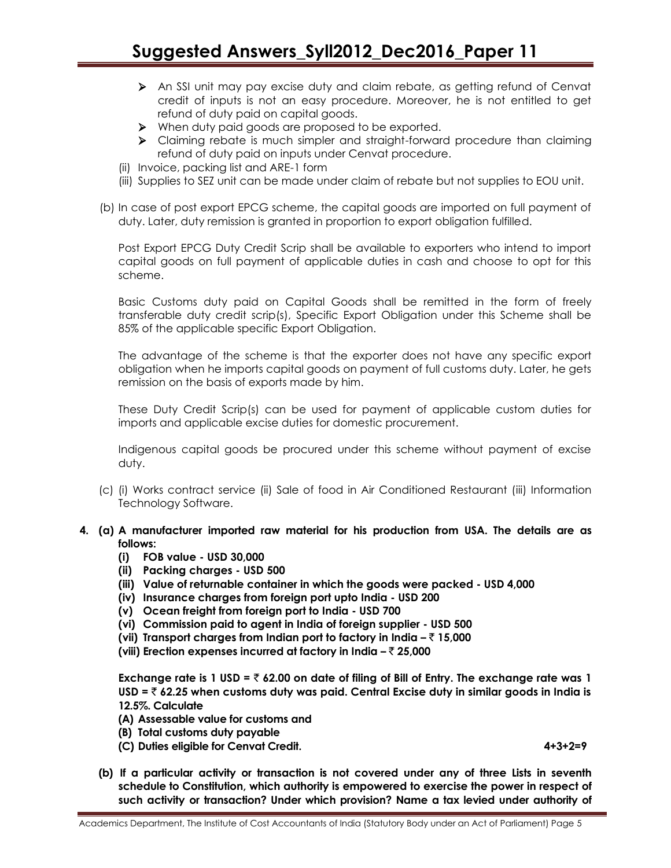## **Suggested Answers\_Syll2012\_Dec2016\_Paper 11**

- An SSI unit may pay excise duty and claim rebate, as getting refund of Cenvat credit of inputs is not an easy procedure. Moreover, he is not entitled to get refund of duty paid on capital goods.
- When duty paid goods are proposed to be exported.
- Claiming rebate is much simpler and straight-forward procedure than claiming refund of duty paid on inputs under Cenvat procedure.
- (ii) Invoice, packing list and ARE-1 form
- (iii) Supplies to SEZ unit can be made under claim of rebate but not supplies to EOU unit.
- (b) In case of post export EPCG scheme, the capital goods are imported on full payment of duty. Later, duty remission is granted in proportion to export obligation fulfilled.

Post Export EPCG Duty Credit Scrip shall be available to exporters who intend to import capital goods on full payment of applicable duties in cash and choose to opt for this scheme.

Basic Customs duty paid on Capital Goods shall be remitted in the form of freely transferable duty credit scrip(s), Specific Export Obligation under this Scheme shall be 85% of the applicable specific Export Obligation.

The advantage of the scheme is that the exporter does not have any specific export obligation when he imports capital goods on payment of full customs duty. Later, he gets remission on the basis of exports made by him.

These Duty Credit Scrip(s) can be used for payment of applicable custom duties for imports and applicable excise duties for domestic procurement.

Indigenous capital goods be procured under this scheme without payment of excise duty.

- (c) (i) Works contract service (ii) Sale of food in Air Conditioned Restaurant (iii) Information Technology Software.
- **4. (a) A manufacturer imported raw material for his production from USA. The details are as follows:** 
	- **(i) FOB value - USD 30,000**
	- **(ii) Packing charges - USD 500**
	- **(iii) Value of returnable container in which the goods were packed - USD 4,000**
	- **(iv) Insurance charges from foreign port upto India - USD 200**
	- **(v) Ocean freight from foreign port to India - USD 700**
	- **(vi) Commission paid to agent in India of foreign supplier - USD 500**
	- **(vii) Transport charges from Indian port to factory in India –** ` **15,000**
	- **(viii) Erection expenses incurred at factory in India –** ` **25,000**

**Exchange rate is 1 USD =**  $\bar{\tau}$  **62.00 on date of filing of Bill of Entry. The exchange rate was 1 USD =** ` **62.25 when customs duty was paid. Central Excise duty in similar goods in India is 12.5%. Calculate**

- **(A) Assessable value for customs and**
- **(B) Total customs duty payable**
- **(C) Duties eligible for Cenvat Credit. 4+3+2=9**
- **(b) If a particular activity or transaction is not covered under any of three Lists in seventh schedule to Constitution, which authority is empowered to exercise the power in respect of such activity or transaction? Under which provision? Name a tax levied under authority of**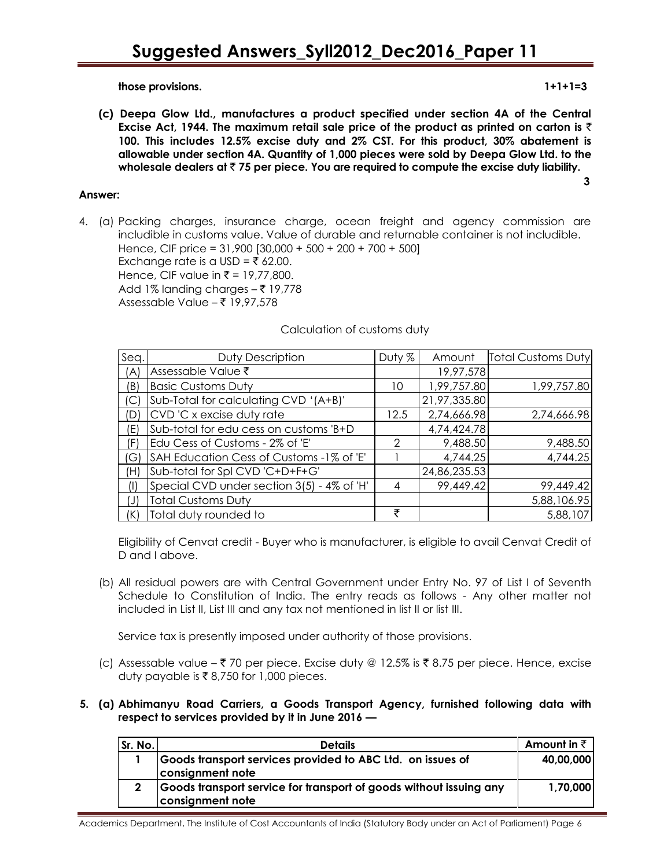**those provisions. 1+1+1=3**

**(c) Deepa Glow Ltd., manufactures a product specified under section 4A of the Central Excise Act, 1944. The maximum retail sale price of the product as printed on carton is** ` **100. This includes 12.5% excise duty and 2% CST. For this product, 30% abatement is allowable under section 4A. Quantity of 1,000 pieces were sold by Deepa Glow Ltd. to the wholesale dealers at** ` **75 per piece. You are required to compute the excise duty liability.**

### **Answer:**

4. (a) Packing charges, insurance charge, ocean freight and agency commission are includible in customs value. Value of durable and returnable container is not includible. Hence, CIF price = 31,900 [30,000 + 500 + 200 + 700 + 500] Exchange rate is a USD =  $\overline{\xi}$  62.00. Hence, CIF value in ₹ = 19,77,800. Add 1% landing charges  $-\bar{\tau}$  19,778 Assessable Value –  $\bar{z}$  19,97,578

### Calculation of customs duty

| Seq.     | Duty Description                           | Duty % | Amount       | <b>Total Customs Duty</b> |
|----------|--------------------------------------------|--------|--------------|---------------------------|
| (A)      | Assessable Value ₹                         |        | 19,97,578    |                           |
| (B)      | <b>Basic Customs Duty</b>                  | 10     | 1,99,757.80  | 1,99,757.80               |
|          | Sub-Total for calculating CVD '(A+B)'      |        | 21,97,335.80 |                           |
| (D)      | CVD 'C x excise duty rate                  | 12.5   | 2,74,666.98  | 2,74,666.98               |
| (E)      | Sub-total for edu cess on customs 'B+D     |        | 4,74,424.78  |                           |
| (F)      | Edu Cess of Customs - 2% of 'E'            | 2      | 9,488.50     | 9,488.50                  |
| $'G_1$   | SAH Education Cess of Customs -1% of 'E'   |        | 4,744.25     | 4,744.25                  |
| (H)      | Sub-total for Spl CVD 'C+D+F+G'            |        | 24,86,235.53 |                           |
| $($ l    | Special CVD under section 3(5) - 4% of 'H' | 4      | 99,449.42    | 99,449.42                 |
| $(\cup)$ | <b>Total Customs Duty</b>                  |        |              | 5,88,106.95               |
|          | Total duty rounded to                      | ₹      |              | 5,88,107                  |

Eligibility of Cenvat credit - Buyer who is manufacturer, is eligible to avail Cenvat Credit of D and I above.

(b) All residual powers are with Central Government under Entry No. 97 of List I of Seventh Schedule to Constitution of India. The entry reads as follows - Any other matter not included in List II, List III and any tax not mentioned in list II or list III.

Service tax is presently imposed under authority of those provisions.

(c) Assessable value –  $\bar{\tau}$  70 per piece. Excise duty @ 12.5% is  $\bar{\tau}$  8.75 per piece. Hence, excise duty payable is  $\bar{\tau}$  8,750 for 1,000 pieces.

#### **5. (a) Abhimanyu Road Carriers, a Goods Transport Agency, furnished following data with respect to services provided by it in June 2016 —**

| Sr. No. | <b>Details</b>                                                                         | Amount in ₹ |
|---------|----------------------------------------------------------------------------------------|-------------|
|         | Goods transport services provided to ABC Ltd. on issues of<br>consignment note         | 40,00,000   |
| 2       | Goods transport service for transport of goods without issuing any<br>consignment note | 1,70,000    |

**3 3**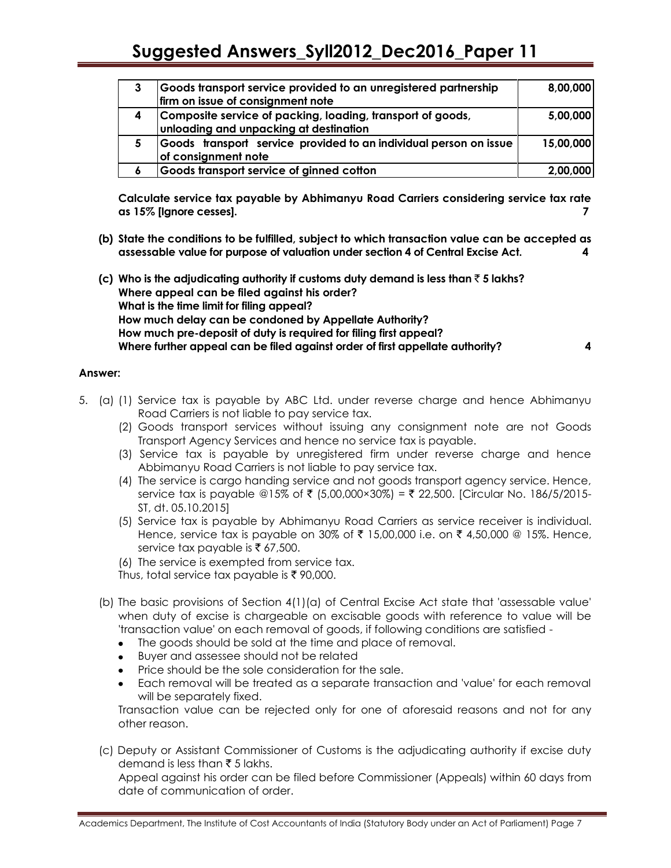| 3 | Goods transport service provided to an unregistered partnership   | 8,00,000  |
|---|-------------------------------------------------------------------|-----------|
|   | firm on issue of consignment note                                 |           |
| 4 | Composite service of packing, loading, transport of goods,        | 5,00,000  |
|   | unloading and unpacking at destination                            |           |
| 5 | Goods transport service provided to an individual person on issue | 15,00,000 |
|   | of consignment note                                               |           |
| 6 | Goods transport service of ginned cotton                          | 2,00,000  |

**Calculate service tax payable by Abhimanyu Road Carriers considering service tax rate as 15% [Ignore cesses]. 7**

- **(b) State the conditions to be fulfilled, subject to which transaction value can be accepted as assessable value for purpose of valuation under section 4 of Central Excise Act. 4**
- **(c) Who is the adjudicating authority if customs duty demand is less than** ` **5 lakhs? Where appeal can be filed against his order? What is the time limit for filing appeal? How much delay can be condoned by Appellate Authority? How much pre-deposit of duty is required for filing first appeal? Where further appeal can be filed against order of first appellate authority? 4**

#### **Answer:**

- 5. (a) (1) Service tax is payable by ABC Ltd. under reverse charge and hence Abhimanyu Road Carriers is not liable to pay service tax.
	- (2) Goods transport services without issuing any consignment note are not Goods Transport Agency Services and hence no service tax is payable.
	- (3) Service tax is payable by unregistered firm under reverse charge and hence Abbimanyu Road Carriers is not liable to pay service tax.
	- (4) The service is cargo handing service and not goods transport agency service. Hence, service tax is payable @15% of ₹ (5,00,000×30%) = ₹ 22,500. [Circular No. 186/5/2015-ST, dt. 05.10.2015]
	- (5) Service tax is payable by Abhimanyu Road Carriers as service receiver is individual. Hence, service tax is payable on 30% of  $\bar{\tau}$  15,00,000 i.e. on  $\bar{\tau}$  4,50,000 @ 15%. Hence, service tax payable is  $\bar{\tau}$  67,500.
	- (6) The service is exempted from service tax.
	- Thus, total service tax payable is ₹90,000.
	- (b) The basic provisions of Section 4(1)(a) of Central Excise Act state that 'assessable value' when duty of excise is chargeable on excisable goods with reference to value will be 'transaction value' on each removal of goods, if following conditions are satisfied -
		- The goods should be sold at the time and place of removal.
		- Buyer and assessee should not be related
		- Price should be the sole consideration for the sale.
		- Each removal will be treated as a separate transaction and 'value' for each removal will be separately fixed.

Transaction value can be rejected only for one of aforesaid reasons and not for any other reason.

(c) Deputy or Assistant Commissioner of Customs is the adjudicating authority if excise duty demand is less than  $\bar{\tau}$  5 lakhs.

Appeal against his order can be filed before Commissioner (Appeals) within 60 days from date of communication of order.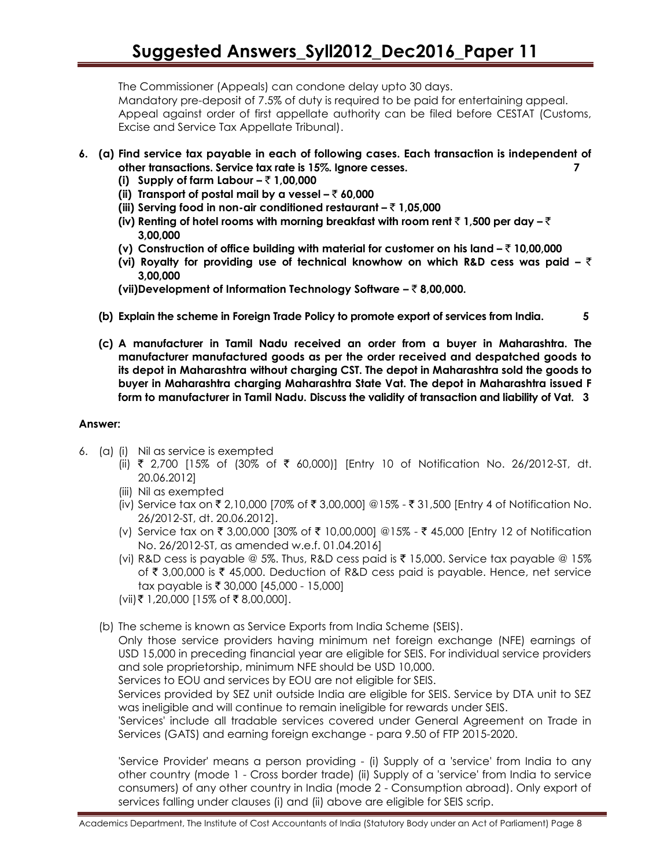## **Suggested Answers\_Syll2012\_Dec2016\_Paper 11**

The Commissioner (Appeals) can condone delay upto 30 days.

Mandatory pre-deposit of 7.5% of duty is required to be paid for entertaining appeal. Appeal against order of first appellate authority can be filed before CESTAT (Customs, Excise and Service Tax Appellate Tribunal).

- **6. (a) Find service tax payable in each of following cases. Each transaction is independent of other transactions. Service tax rate is 15%. Ignore cesses. 7**
	- **(i) Supply of farm Labour –** ` **1,00,000**
	- **(ii)** Transport of postal mail by a vessel  $-\overline{z}$  60,000
	- **(iii) Serving food in non-air conditioned restaurant –** ` **1,05,000**
	- **(iv) Renting of hotel rooms with morning breakfast with room rent** ` **1,500 per day –** ` **3,00,000**
	- **(v) Construction of office building with material for customer on his land –** ` **10,00,000**
	- **(vi) Royalty for providing use of technical knowhow on which R&D cess was paid –** ` **3,00,000**
	- **(vii)Development of Information Technology Software –** ` **8,00,000.**
	- **(b) Explain the scheme in Foreign Trade Policy to promote export of services from India. 5**
	- **(c) A manufacturer in Tamil Nadu received an order from a buyer in Maharashtra. The manufacturer manufactured goods as per the order received and despatched goods to its depot in Maharashtra without charging CST. The depot in Maharashtra sold the goods to buyer in Maharashtra charging Maharashtra State Vat. The depot in Maharashtra issued F form to manufacturer in Tamil Nadu. Discuss the validity of transaction and liability of Vat. 3**

### **Answer:**

- 6. (a) (i) Nil as service is exempted
	- (ii) ₹ 2,700 [15% of (30% of ₹ 60,000)] [Entry 10 of Notification No. 26/2012-ST, dt. 20.06.2012]
	- (iii) Nil as exempted
	- (iv) Service tax on ₹ 2,10,000 [70% of ₹ 3,00,000] @15% ₹ 31,500 [Entry 4 of Notification No. 26/2012-ST, dt. 20.06.2012].
	- (v) Service tax on ₹ 3,00,000 [30% of ₹ 10,00,000] @15% ₹ 45,000 [Entry 12 of Notification No. 26/2012-ST, as amended w.e.f. 01.04.2016]
	- (vi) R&D cess is payable @ 5%. Thus, R&D cess paid is  $\bar{\tau}$  15,000. Service tax payable @ 15% of ` 3,00,000 is ` 45,000. Deduction of R&D cess paid is payable. Hence, net service tax payable is  $\bar{\tau}$  30,000 [45,000 - 15,000]
	- (vii) ₹ 1,20,000 [15% of ₹ 8,00,000].
	- (b) The scheme is known as Service Exports from India Scheme (SEIS).

Only those service providers having minimum net foreign exchange (NFE) earnings of USD 15,000 in preceding financial year are eligible for SEIS. For individual service providers and sole proprietorship, minimum NFE should be USD 10,000.

Services to EOU and services by EOU are not eligible for SEIS.

Services provided by SEZ unit outside India are eligible for SEIS. Service by DTA unit to SEZ was ineligible and will continue to remain ineligible for rewards under SEIS.

'Services' include all tradable services covered under General Agreement on Trade in Services (GATS) and earning foreign exchange - para 9.50 of FTP 2015-2020.

'Service Provider' means a person providing - (i) Supply of a 'service' from India to any other country (mode 1 - Cross border trade) (ii) Supply of a 'service' from India to service consumers) of any other country in India (mode 2 - Consumption abroad). Only export of services falling under clauses (i) and (ii) above are eligible for SEIS scrip.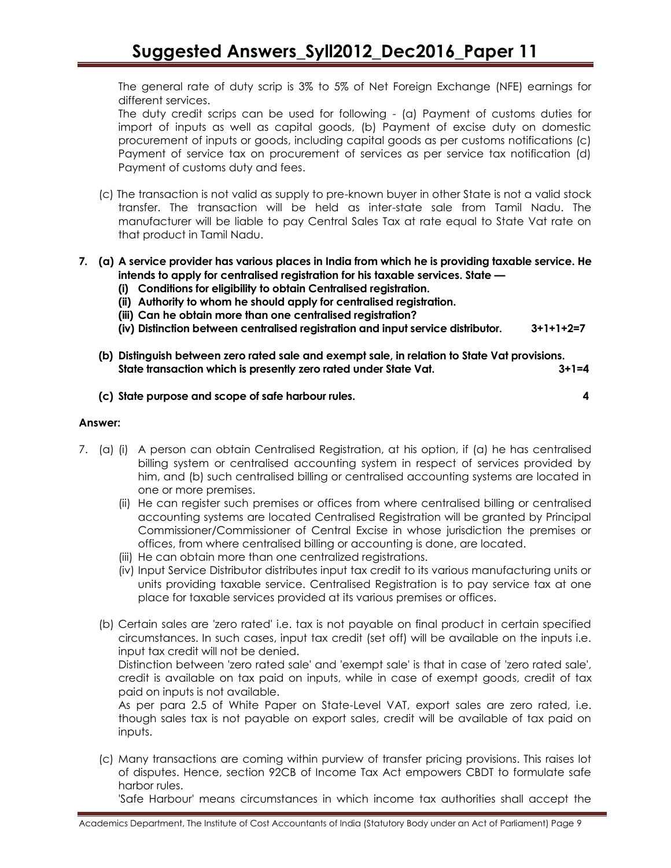The general rate of duty scrip is 3% to 5% of Net Foreign Exchange (NFE) earnings for different services.

The duty credit scrips can be used for following - (a) Payment of customs duties for import of inputs as well as capital goods, (b) Payment of excise duty on domestic procurement of inputs or goods, including capital goods as per customs notifications (c) Payment of service tax on procurement of services as per service tax notification (d) Payment of customs duty and fees.

- (c) The transaction is not valid as supply to pre-known buyer in other State is not a valid stock transfer. The transaction will be held as inter-state sale from Tamil Nadu. The manufacturer will be liable to pay Central Sales Tax at rate equal to State Vat rate on that product in Tamil Nadu.
- **7. (a) A service provider has various places in India from which he is providing taxable service. He intends to apply for centralised registration for his taxable services. State —**
	- **(i) Conditions for eligibility to obtain Centralised registration.**
	- **(ii) Authority to whom he should apply for centralised registration.**
	- **(iii) Can he obtain more than one centralised registration?**
	- **(iv) Distinction between centralised registration and input service distributor. 3+1+1+2=7**
	- **(b) Distinguish between zero rated sale and exempt sale, in relation to State Vat provisions. State transaction which is presently zero rated under State Vat. 3+1=4**
	- **(c) State purpose and scope of safe harbour rules. 4**

### **Answer:**

- 7. (a) (i) A person can obtain Centralised Registration, at his option, if (a) he has centralised billing system or centralised accounting system in respect of services provided by him, and (b) such centralised billing or centralised accounting systems are located in one or more premises.
	- (ii) He can register such premises or offices from where centralised billing or centralised accounting systems are located Centralised Registration will be granted by Principal Commissioner/Commissioner of Central Excise in whose jurisdiction the premises or offices, from where centralised billing or accounting is done, are located.
	- (iii) He can obtain more than one centralized registrations.
	- (iv) Input Service Distributor distributes input tax credit to its various manufacturing units or units providing taxable service. Centralised Registration is to pay service tax at one place for taxable services provided at its various premises or offices.
	- (b) Certain sales are 'zero rated' i.e. tax is not payable on final product in certain specified circumstances. In such cases, input tax credit (set off) will be available on the inputs i.e. input tax credit will not be denied.

Distinction between 'zero rated sale' and 'exempt sale' is that in case of 'zero rated sale', credit is available on tax paid on inputs, while in case of exempt goods, credit of tax paid on inputs is not available.

As per para 2.5 of White Paper on State-Level VAT, export sales are zero rated, i.e. though sales tax is not payable on export sales, credit will be available of tax paid on inputs.

(c) Many transactions are coming within purview of transfer pricing provisions. This raises lot of disputes. Hence, section 92CB of Income Tax Act empowers CBDT to formulate safe harbor rules.

'Safe Harbour' means circumstances in which income tax authorities shall accept the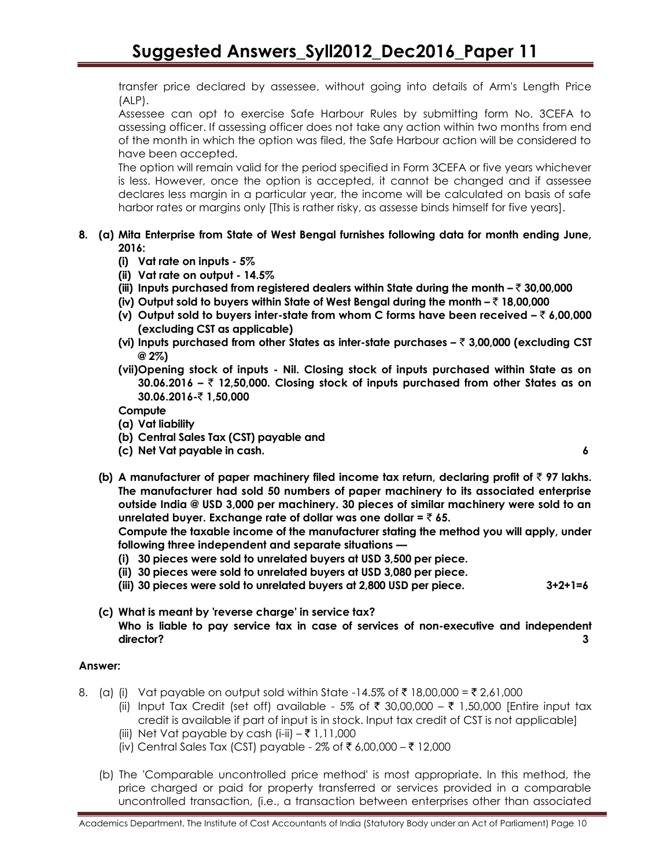transfer price declared by assessee, without going into details of Arm's Length Price (ALP).

Assessee can opt to exercise Safe Harbour Rules by submitting form No. 3CEFA to assessing officer. If assessing officer does not take any action within two months from end of the month in which the option was filed, the Safe Harbour action will be considered to have been accepted.

The option will remain valid for the period specified in Form 3CEFA or five years whichever is less. However, once the option is accepted, it cannot be changed and if assessee declares less margin in a particular year, the income will be calculated on basis of safe harbor rates or margins only [This is rather risky, as assesse binds himself for five years].

### **8. (a) Mita Enterprise from State of West Bengal furnishes following data for month ending June, 2016:**

- **(i) Vat rate on inputs - 5%**
- **(ii) Vat rate on output - 14.5%**
- **(iii) Inputs purchased from registered dealers within State during the month –** ` **30,00,000**
- **(iv) Output sold to buyers within State of West Bengal during the month –** ` **18,00,000**
- **(v) Output sold to buyers inter-state from whom C forms have been received –** ` **6,00,000 (excluding CST as applicable)**
- **(vi) Inputs purchased from other States as inter-state purchases –** ` **3,00,000 (excluding CST @ 2%)**
- **(vii)Opening stock of inputs - Nil. Closing stock of inputs purchased within State as on 30.06.2016 –** ` **12,50,000. Closing stock of inputs purchased from other States as on 30.06.2016-₹1,50,000**

**Compute**

- **(a) Vat liability**
- **(b) Central Sales Tax (CST) payable and**
- **(c) Net Vat payable in cash. 6**
- **(b)** A manufacturer of paper machinery filed income tax return, declaring profit of  $\bar{\tau}$  97 lakhs. **The manufacturer had sold 50 numbers of paper machinery to its associated enterprise outside India @ USD 3,000 per machinery. 30 pieces of similar machinery were sold to an unrelated buyer. Exchange rate of dollar was one dollar =** ` **65.**

**Compute the taxable income of the manufacturer stating the method you will apply, under following three independent and separate situations —**

- **(i) 30 pieces were sold to unrelated buyers at USD 3,500 per piece.**
- **(ii) 30 pieces were sold to unrelated buyers at USD 3,080 per piece.**
- **(iii) 30 pieces were sold to unrelated buyers at 2,800 USD per piece. 3+2+1=6**
- **(c) What is meant by 'reverse charge' in service tax? Who is liable to pay service tax in case of services of non-executive and independent director? 3**

### **Answer:**

- 8. (a) (i) Vat payable on output sold within State -14.5% of ₹18,00,000 = ₹2,61,000
	- (ii) Input Tax Credit (set off) available 5% of  $\bar{\tau}$  30,00,000  $\bar{\tau}$  1,50,000 [Entire input tax credit is available if part of input is in stock. Input tax credit of CST is not applicable]
	- (iii) Net Vat payable by cash (i-ii)  $-\bar{\tau}$  1,11,000
	- (iv) Central Sales Tax (CST) payable 2% of ₹ 6,00,000 ₹ 12,000
	- (b) The 'Comparable uncontrolled price method' is most appropriate. In this method, the price charged or paid for property transferred or services provided in a comparable uncontrolled transaction, (i.e., a transaction between enterprises other than associated